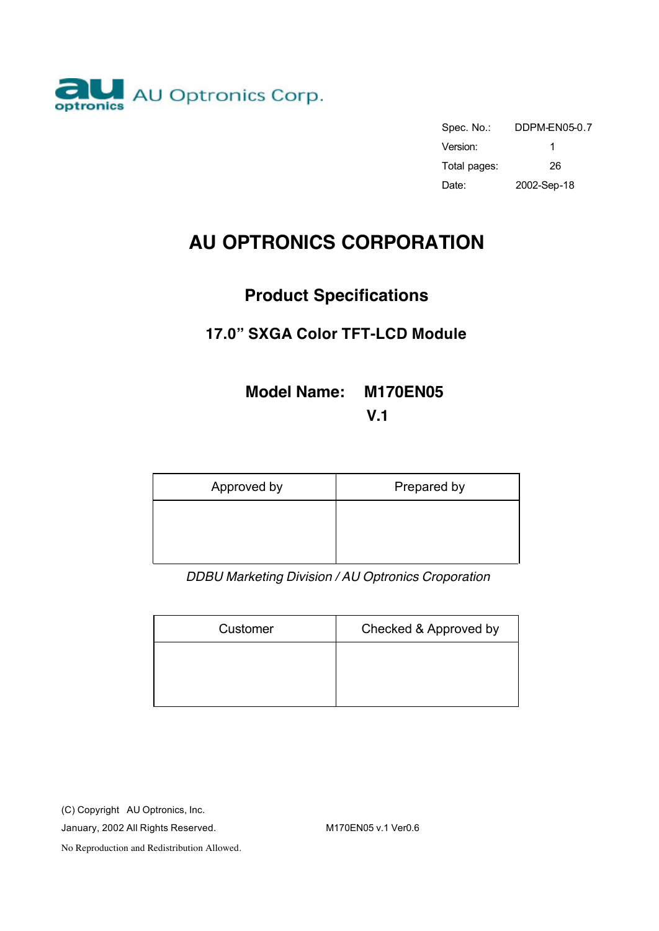

| Spec. No.:   | DDPM-FN05-0.7 |
|--------------|---------------|
| Version:     | 1             |
| Total pages: | 26            |
| Date:        | 2002-Sep-18   |

# **AU OPTRONICS CORPORATION**

# **Product Specifications**

# **17.0" SXGA Color TFT-LCD Module**

# **Model Name: M170EN05**

**V.1**

| Approved by | Prepared by |
|-------------|-------------|
|             |             |
|             |             |

*DDBU Marketing Division / AU Optronics Croporation*

| Customer | Checked & Approved by |
|----------|-----------------------|
|          |                       |
|          |                       |

(C) Copyright AU Optronics, Inc.

January, 2002 All Rights Reserved. M170EN05 v.1 Ver0.6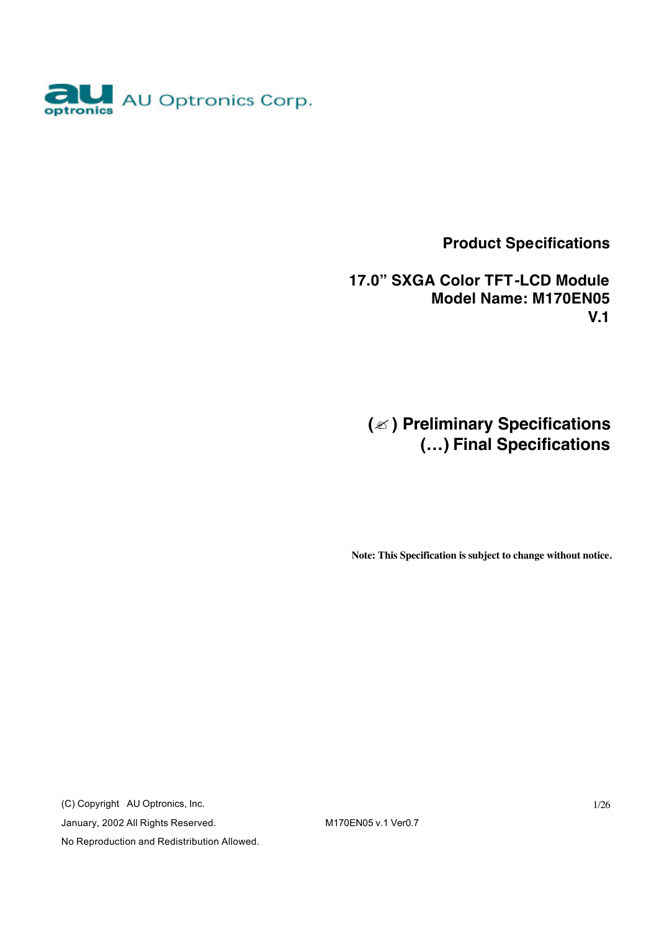

 **Product Specifications**

 **17.0" SXGA Color TFT-LCD Module Model Name: M170EN05 V.1**

**(**? **) Preliminary Specifications (…) Final Specifications**

**Note: This Specification is subject to change without notice.**

(C) Copyright AU Optronics, Inc. January, 2002 All Rights Reserved. M170EN05 v.1 Ver0.7 No Reproduction and Redistribution Allowed.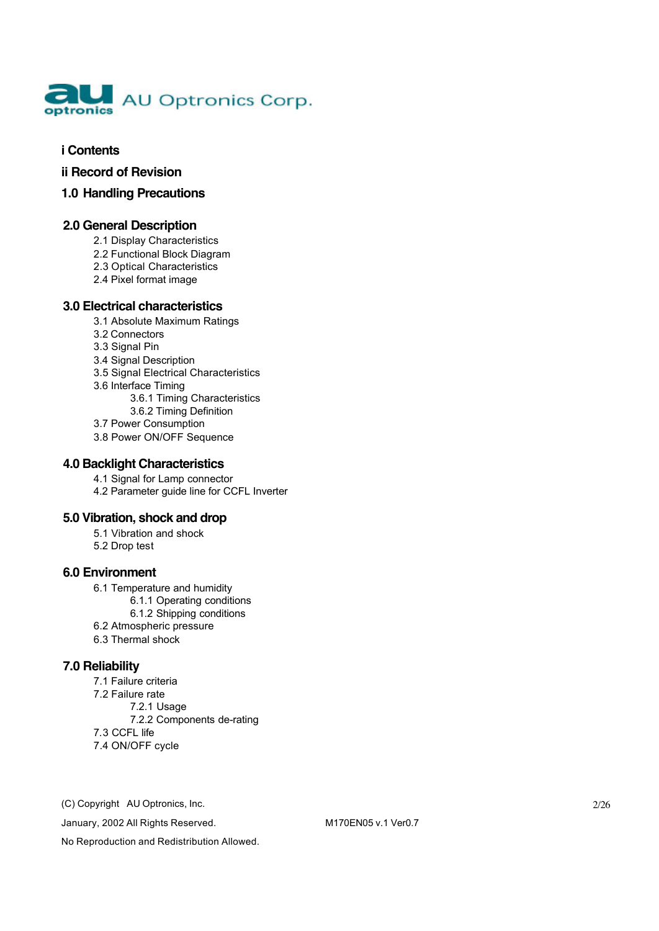

#### **i Contents**

**ii Record of Revision**

#### **1.0 Handling Precautions**

#### **2.0 General Description**

- 2.1 Display Characteristics
- 2.2 Functional Block Diagram
- 2.3 Optical Characteristics
- 2.4 Pixel format image

#### **3.0 Electrical characteristics**

- 3.1 Absolute Maximum Ratings
- 3.2 Connectors
- 3.3 Signal Pin
- 3.4 Signal Description
- 3.5 Signal Electrical Characteristics
- 3.6 Interface Timing
	- 3.6.1 Timing Characteristics
	- 3.6.2 Timing Definition
- 3.7 Power Consumption
- 3.8 Power ON/OFF Sequence

#### **4.0 Backlight Characteristics**

4.1 Signal for Lamp connector

4.2 Parameter guide line for CCFL Inverter

#### **5.0 Vibration, shock and drop**

- 5.1 Vibration and shock
- 5.2 Drop test

#### **6.0 Environment**

- 6.1 Temperature and humidity
	- 6.1.1 Operating conditions
	- 6.1.2 Shipping conditions
- 6.2 Atmospheric pressure
- 6.3 Thermal shock

#### **7.0 Reliability**

- 7.1 Failure criteria
- 7.2 Failure rate
	- 7.2.1 Usage
	- 7.2.2 Components de-rating
- 7.3 CCFL life
- 7.4 ON/OFF cycle

(C) Copyright AU Optronics, Inc.

January, 2002 All Rights Reserved. M170EN05 v.1 Ver0.7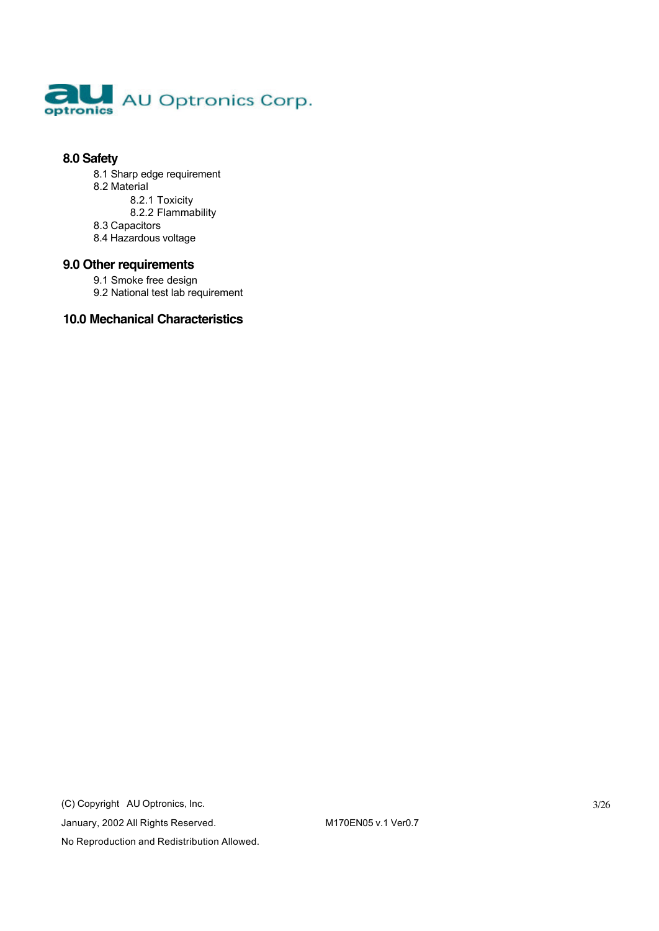

#### **8.0 Safety**

- 8.1 Sharp edge requirement 8.2 Material 8.2.1 Toxicity 8.2.2 Flammability
- 8.3 Capacitors
- 8.4 Hazardous voltage

#### **9.0 Other requirements**

- 9.1 Smoke free design
- 9.2 National test lab requirement

#### **10.0 Mechanical Characteristics**

(C) Copyright AU Optronics, Inc. January, 2002 All Rights Reserved. M170EN05 v.1 Ver0.7 No Reproduction and Redistribution Allowed.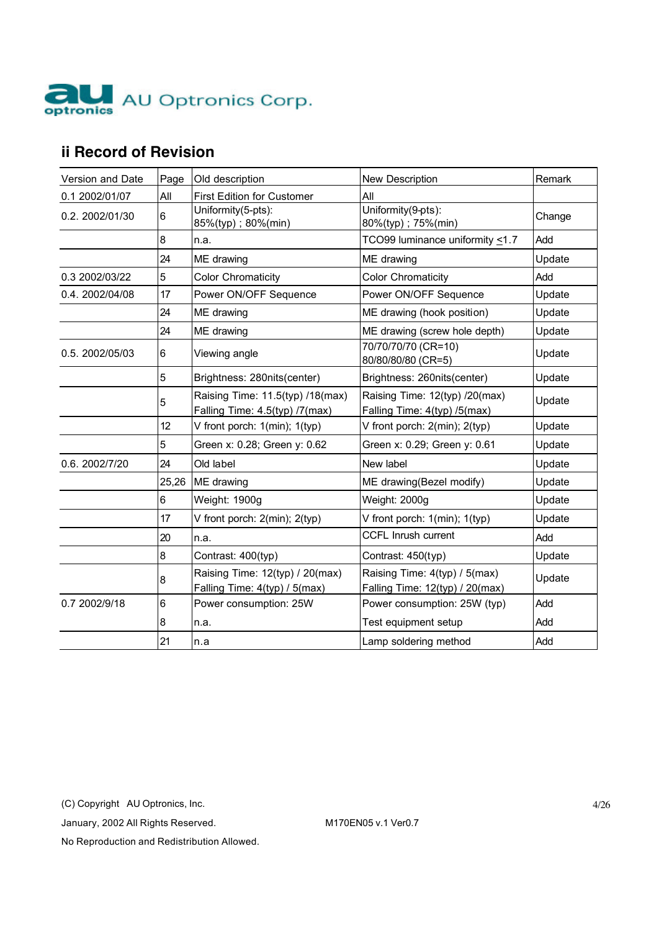

# **ii Record of Revision**

| Version and Date | Page  | Old description                                                    | New Description                                                  | Remark |
|------------------|-------|--------------------------------------------------------------------|------------------------------------------------------------------|--------|
| 0.1 2002/01/07   | All   | <b>First Edition for Customer</b>                                  | All                                                              |        |
| 0.2. 2002/01/30  | 6     | Uniformity(5-pts):<br>85%(typ); 80%(min)                           | $\overline{Uniformity(9-pts)}$ :<br>80%(typ); 75%(min)           | Change |
|                  | 8     | n.a.                                                               | TCO99 luminance uniformity <1.7                                  | Add    |
|                  | 24    | ME drawing                                                         | ME drawing                                                       | Update |
| 0.3 2002/03/22   | 5     | <b>Color Chromaticity</b>                                          | <b>Color Chromaticity</b>                                        | Add    |
| 0.4.2002/04/08   | 17    | Power ON/OFF Sequence                                              | Power ON/OFF Sequence                                            | Update |
|                  | 24    | ME drawing                                                         | ME drawing (hook position)                                       | Update |
|                  | 24    | ME drawing                                                         | ME drawing (screw hole depth)                                    | Update |
| 0.5. 2002/05/03  | 6     | Viewing angle                                                      | 70/70/70/70 (CR=10)<br>80/80/80/80 (CR=5)                        | Update |
|                  | 5     | Brightness: 280nits(center)                                        | Brightness: 260nits(center)                                      | Update |
|                  | 5     | Raising Time: 11.5(typ) /18(max)<br>Falling Time: 4.5(typ) /7(max) | Raising Time: 12(typ) /20(max)<br>Falling Time: 4(typ) /5(max)   | Update |
|                  | 12    | V front porch: 1(min); 1(typ)                                      | V front porch: 2(min); 2(typ)                                    | Update |
|                  | 5     | Green x: 0.28; Green y: 0.62                                       | Green x: 0.29; Green y: 0.61                                     | Update |
| 0.6. 2002/7/20   | 24    | Old label                                                          | New label                                                        | Update |
|                  | 25,26 | ME drawing                                                         | ME drawing(Bezel modify)                                         | Update |
|                  | 6     | Weight: 1900g                                                      | Weight: 2000g                                                    | Update |
|                  | 17    | V front porch: 2(min); 2(typ)                                      | V front porch: 1(min); 1(typ)                                    | Update |
|                  | 20    | n.a.                                                               | <b>CCFL Inrush current</b>                                       | Add    |
|                  | 8     | Contrast: 400(typ)                                                 | Contrast: 450(typ)                                               | Update |
|                  | 8     | Raising Time: 12(typ) / 20(max)<br>Falling Time: 4(typ) / 5(max)   | Raising Time: 4(typ) / 5(max)<br>Falling Time: 12(typ) / 20(max) | Update |
| 0.7 2002/9/18    | 6     | Power consumption: 25W                                             | Power consumption: 25W (typ)                                     | Add    |
|                  | 8     | n.a.                                                               | Test equipment setup                                             | Add    |
|                  | 21    | n.a                                                                | Lamp soldering method                                            | Add    |

(C) Copyright AU Optronics, Inc.

January, 2002 All Rights Reserved. M170EN05 v.1 Ver0.7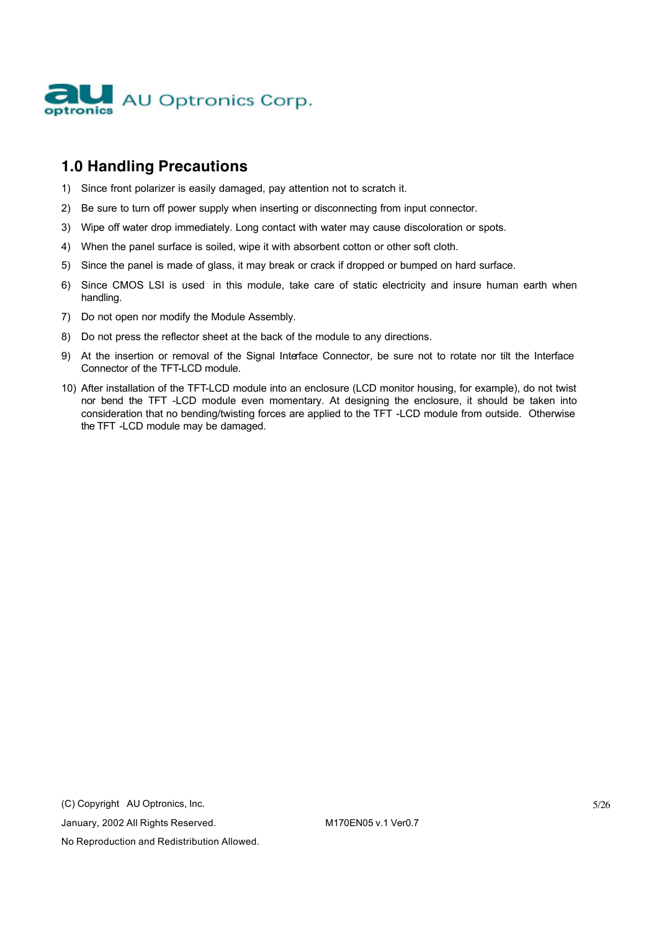

# **1.0 Handling Precautions**

- 1) Since front polarizer is easily damaged, pay attention not to scratch it.
- 2) Be sure to turn off power supply when inserting or disconnecting from input connector.
- 3) Wipe off water drop immediately. Long contact with water may cause discoloration or spots.
- 4) When the panel surface is soiled, wipe it with absorbent cotton or other soft cloth.
- 5) Since the panel is made of glass, it may break or crack if dropped or bumped on hard surface.
- 6) Since CMOS LSI is used in this module, take care of static electricity and insure human earth when handling.
- 7) Do not open nor modify the Module Assembly.
- 8) Do not press the reflector sheet at the back of the module to any directions.
- 9) At the insertion or removal of the Signal Interface Connector, be sure not to rotate nor tilt the Interface Connector of the TFT-LCD module.
- 10) After installation of the TFT-LCD module into an enclosure (LCD monitor housing, for example), do not twist nor bend the TFT -LCD module even momentary. At designing the enclosure, it should be taken into consideration that no bending/twisting forces are applied to the TFT -LCD module from outside. Otherwise the TFT -LCD module may be damaged.

(C) Copyright AU Optronics, Inc.

January, 2002 All Rights Reserved. M170EN05 v.1 Ver0.7

No Reproduction and Redistribution Allowed.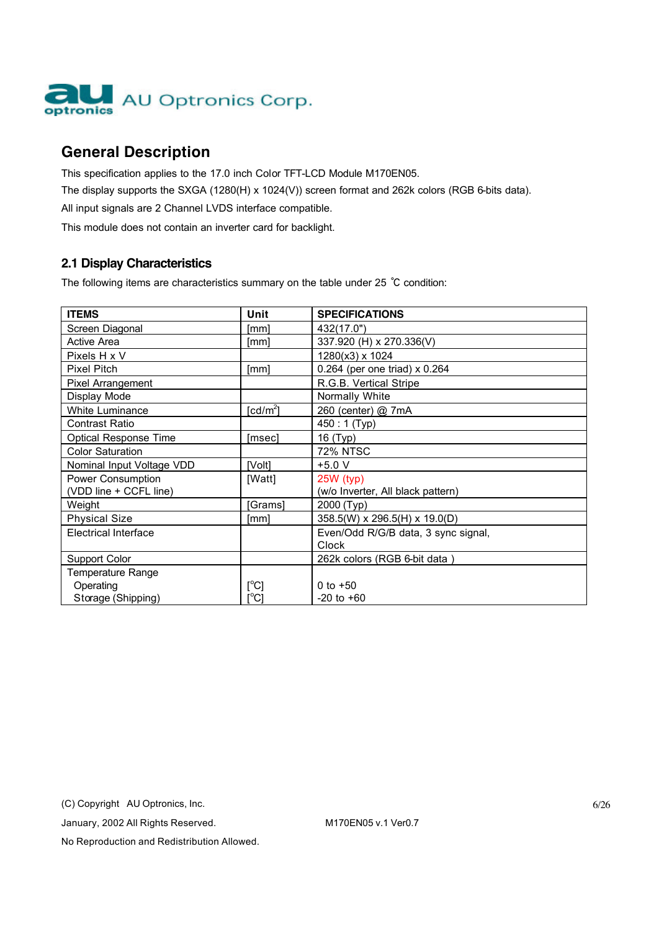

# **General Description**

This specification applies to the 17.0 inch Color TFT-LCD Module M170EN05. The display supports the SXGA (1280(H) x 1024(V)) screen format and 262k colors (RGB 6-bits data). All input signals are 2 Channel LVDS interface compatible.

This module does not contain an inverter card for backlight.

### **2.1 Display Characteristics**

The following items are characteristics summary on the table under 25 ℃ condition:

| <b>ITEMS</b>                 | Unit                      | <b>SPECIFICATIONS</b>                |
|------------------------------|---------------------------|--------------------------------------|
| Screen Diagonal              | [mm]                      | 432(17.0")                           |
| <b>Active Area</b>           | [mm]                      | 337.920 (H) x 270.336(V)             |
| Pixels H x V                 |                           | 1280(x3) x 1024                      |
| <b>Pixel Pitch</b>           | [mm]                      | 0.264 (per one triad) $\times$ 0.264 |
| Pixel Arrangement            |                           | R.G.B. Vertical Stripe               |
| Display Mode                 |                           | Normally White                       |
| White Luminance              | [ $cd/m2$ ]               | 260 (center) @ 7mA                   |
| Contrast Ratio               |                           | 450: 1 (Typ)                         |
| <b>Optical Response Time</b> | [msec]                    | 16 (Typ)                             |
| <b>Color Saturation</b>      |                           | 72% NTSC                             |
| Nominal Input Voltage VDD    | [Volt]                    | $+5.0 V$                             |
| Power Consumption            | [Watt]                    | $25W$ (typ)                          |
| (VDD line + CCFL line)       |                           | (w/o Inverter, All black pattern)    |
| Weight                       | [Grams]                   | 2000 (Typ)                           |
| <b>Physical Size</b>         | [mm]                      | 358.5(W) x 296.5(H) x 19.0(D)        |
| <b>Electrical Interface</b>  |                           | Even/Odd R/G/B data, 3 sync signal,  |
|                              |                           | Clock                                |
| <b>Support Color</b>         |                           | 262k colors (RGB 6-bit data)         |
| Temperature Range            |                           |                                      |
| Operating                    | $\lceil{^{\circ}C}\rceil$ | 0 to $+50$                           |
| Storage (Shipping)           | [°C]                      | $-20$ to $+60$                       |

(C) Copyright AU Optronics, Inc.

January, 2002 All Rights Reserved. M170EN05 v.1 Ver0.7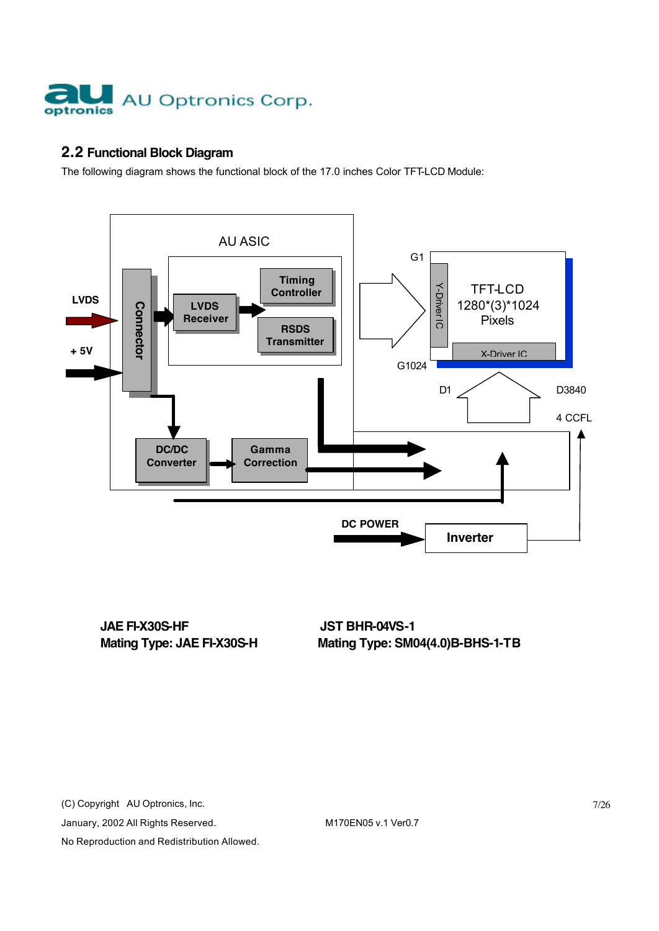

### **2.2 Functional Block Diagram**

The following diagram shows the functional block of the 17.0 inches Color TFT-LCD Module:



**JAE FI-X30S-HF JST BHR-04VS-1** 

(C) Copyright AU Optronics, Inc.

January, 2002 All Rights Reserved. M170EN05 v.1 Ver0.7

No Reproduction and Redistribution Allowed.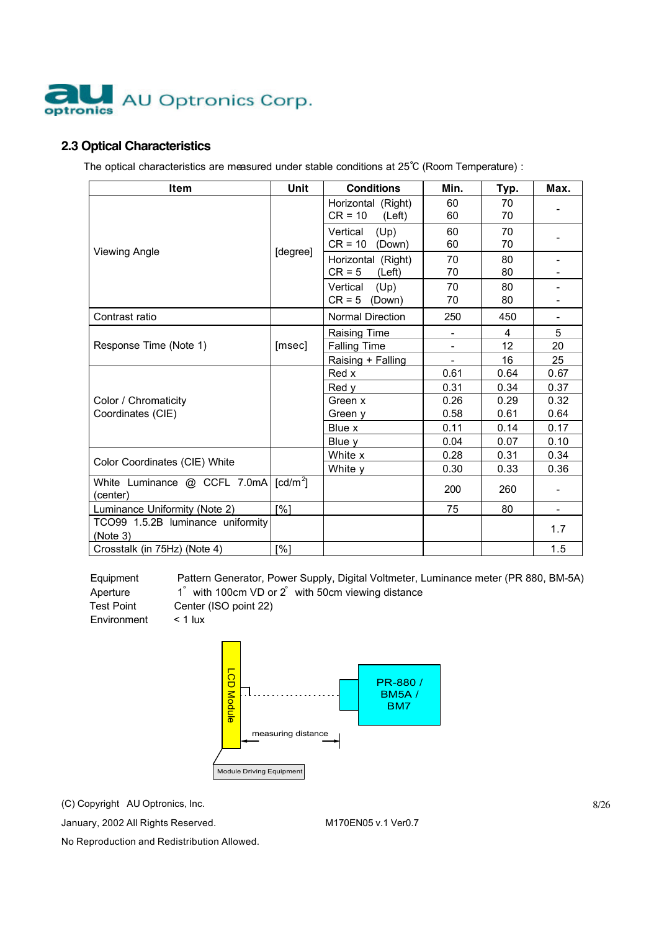

### **2.3 Optical Characteristics**

The optical characteristics are measured under stable conditions at 25℃ (Room Temperature) :

| Item                                          | Unit                 | <b>Conditions</b>                                               | Min.                     | Тур.          | Max.                     |
|-----------------------------------------------|----------------------|-----------------------------------------------------------------|--------------------------|---------------|--------------------------|
|                                               |                      | Horizontal (Right)<br>$CR = 10$<br>(Left)                       | 60<br>60                 | 70<br>70      |                          |
|                                               |                      | Vertical<br>(Up)<br>$CR = 10$ (Down)                            | 60<br>60                 | 70<br>70      |                          |
| <b>Viewing Angle</b>                          | [degree]             | Horizontal (Right)<br>$CR = 5$<br>(Left)                        | 70<br>70                 | 80<br>80      |                          |
|                                               |                      | Vertical<br>(Up)<br>$CR = 5$<br>(Down)                          | 70<br>70                 | 80<br>80      |                          |
| Contrast ratio                                |                      | Normal Direction                                                | 250                      | 450           |                          |
| Response Time (Note 1)                        | [msec]               | <b>Raising Time</b><br><b>Falling Time</b><br>Raising + Falling | $\overline{\phantom{a}}$ | 4<br>12<br>16 | 5<br>20<br>25            |
|                                               |                      | Red x<br>Red y                                                  | 0.61<br>0.31             | 0.64<br>0.34  | 0.67<br>0.37             |
| Color / Chromaticity<br>Coordinates (CIE)     |                      | Green x<br>Green y                                              | 0.26<br>0.58             | 0.29<br>0.61  | 0.32<br>0.64             |
|                                               |                      | Blue x<br>Blue y                                                | 0.11<br>0.04             | 0.14<br>0.07  | 0.17<br>0.10             |
| Color Coordinates (CIE) White                 |                      | White x<br>White y                                              | 0.28<br>0.30             | 0.31<br>0.33  | 0.34<br>0.36             |
| White Luminance @ CCFL 7.0mA<br>(center)      | [cd/m <sup>2</sup> ] |                                                                 | 200                      | 260           |                          |
| Luminance Uniformity (Note 2)                 | [%]                  |                                                                 | 75                       | 80            | $\overline{\phantom{0}}$ |
| TCO99 1.5.2B luminance uniformity<br>(Note 3) |                      |                                                                 |                          |               | 1.7                      |
| Crosstalk (in 75Hz) (Note 4)                  | [%]                  |                                                                 |                          |               | 1.5                      |

Equipment Pattern Generator, Power Supply, Digital Voltmeter, Luminance meter (PR 880, BM-5A) Aperture 1° with 100cm VD or 2° with 50cm viewing distance Test Point Center (ISO point 22)



(C) Copyright AU Optronics, Inc.

January, 2002 All Rights Reserved. M170EN05 v.1 Ver0.7

Environment < 1 lux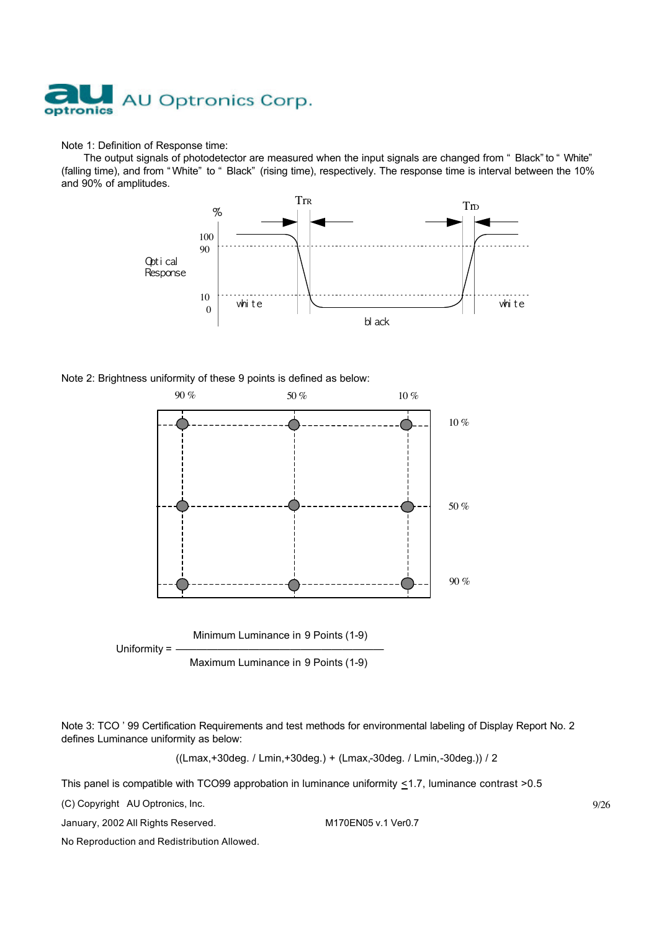

#### Note 1: Definition of Response time:

The output signals of photodetector are measured when the input signals are changed from " Black" to " White" (falling time), and from " White" to " Black" (rising time), respectively. The response time is interval between the 10% and 90% of amplitudes.



Note 2: Brightness uniformity of these 9 points is defined as below:



Note 3: TCO ' 99 Certification Requirements and test methods for environmental labeling of Display Report No. 2 defines Luminance uniformity as below:

((Lmax,+30deg. / Lmin,+30deg.) + (Lmax,-30deg. / Lmin,-30deg.)) / 2

This panel is compatible with TCO99 approbation in luminance uniformity  $\leq$ 1.7, luminance contrast >0.5

(C) Copyright AU Optronics, Inc.

January, 2002 All Rights Reserved. M170EN05 v.1 Ver0.7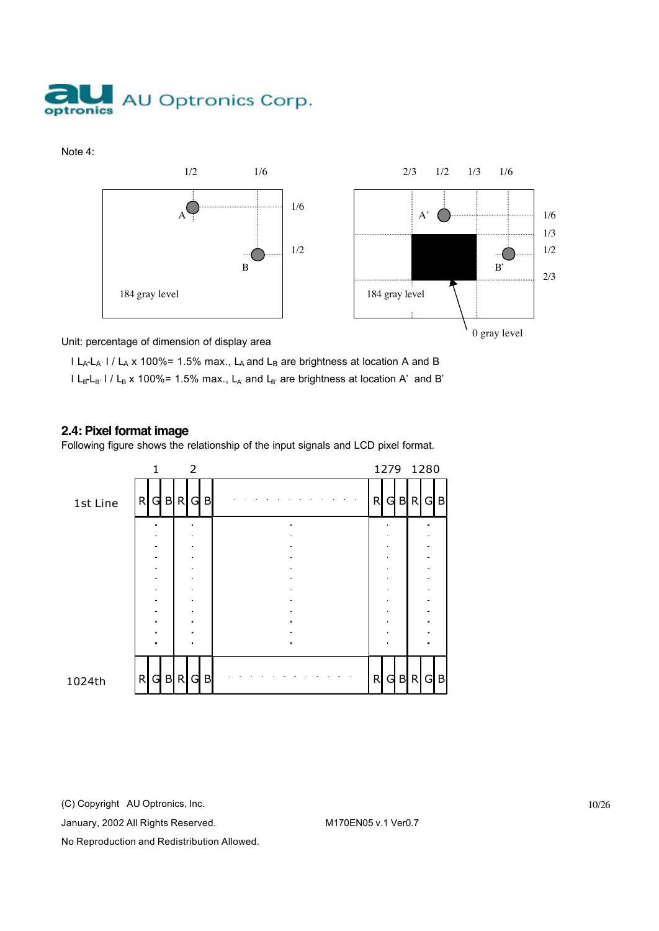

Note 4:



Unit: percentage of dimension of display area

I LA-LA' I / LA x 100%= 1.5% max., LA and LB are brightness at location A and B  $l L_{B}L_{B'}$  l /  $L_{B}$  x 100%= 1.5% max.,  $L_{A'}$  and  $L_{B'}$  are brightness at location A' and B'

#### **2.4: Pixel format image**

Following figure shows the relationship of the input signals and LCD pixel format.



(C) Copyright AU Optronics, Inc.

January, 2002 All Rights Reserved. M170EN05 v.1 Ver0.7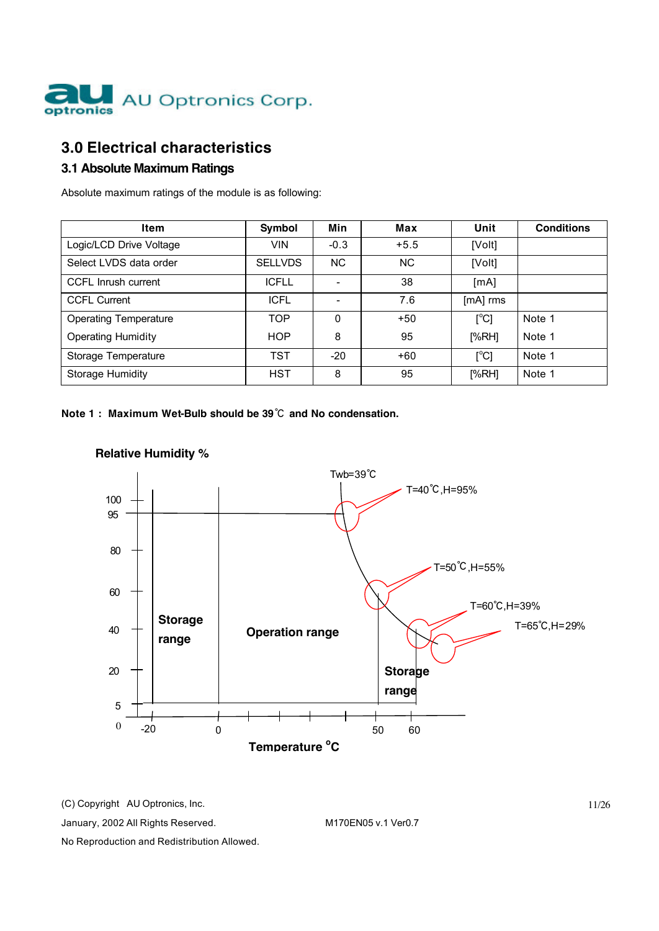

# **3.0 Electrical characteristics**

### **3.1 Absolute Maximum Ratings**

Absolute maximum ratings of the module is as following:

| Item                         | Symbol         | Min      | Max    | Unit     | <b>Conditions</b> |
|------------------------------|----------------|----------|--------|----------|-------------------|
| Logic/LCD Drive Voltage      | <b>VIN</b>     | $-0.3$   | $+5.5$ | [Volt]   |                   |
| Select LVDS data order       | <b>SELLVDS</b> | NC.      | NC.    | [Volt]   |                   |
| CCFL Inrush current          | <b>ICFLL</b>   |          | 38     | [mA]     |                   |
| <b>CCFL Current</b>          | <b>ICFL</b>    |          | 7.6    | [mA] rms |                   |
| <b>Operating Temperature</b> | <b>TOP</b>     | $\Omega$ | $+50$  | [°C]     | Note 1            |
| <b>Operating Humidity</b>    | <b>HOP</b>     | 8        | 95     | [%RH]    | Note 1            |
| Storage Temperature          | <b>TST</b>     | $-20$    | $+60$  | [°C]     | Note 1            |
| Storage Humidity             | <b>HST</b>     | 8        | 95     | [%RH]    | Note 1            |

**Note 1 : Maximum Wet-Bulb should be 39**℃ **and No condensation.**



### **Relative Humidity %**

(C) Copyright AU Optronics, Inc.

January, 2002 All Rights Reserved. M170EN05 v.1 Ver0.7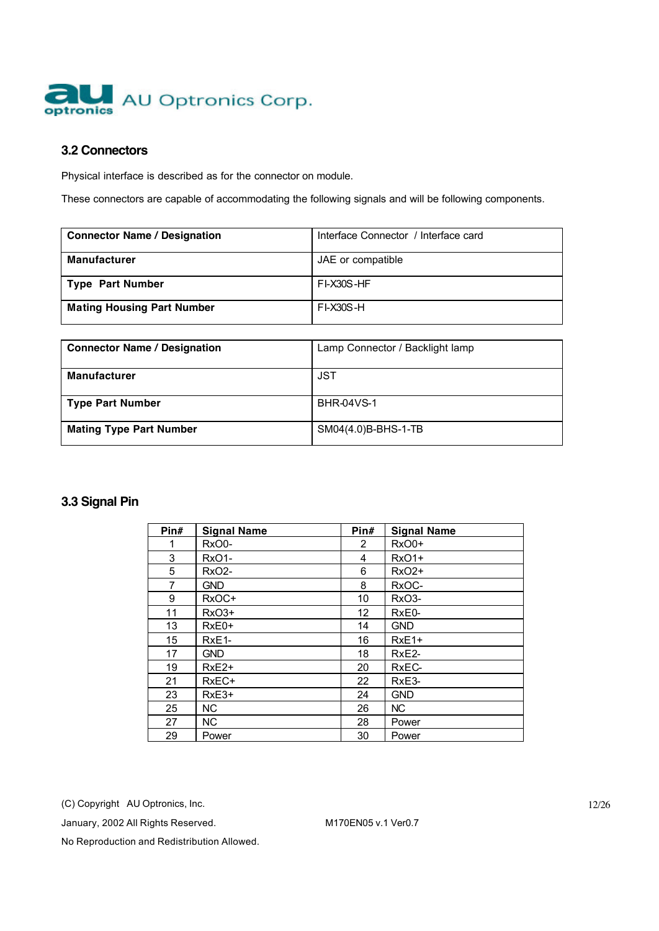

#### **3.2 Connectors**

Physical interface is described as for the connector on module.

These connectors are capable of accommodating the following signals and will be following components.

| <b>Connector Name / Designation</b> | Interface Connector / Interface card |
|-------------------------------------|--------------------------------------|
| <b>Manufacturer</b>                 | JAE or compatible                    |
| Type Part Number                    | <b>FI-X30S-HF</b>                    |
| <b>Mating Housing Part Number</b>   | <b>FI-X30S-H</b>                     |

| <b>Connector Name / Designation</b> | Lamp Connector / Backlight lamp |
|-------------------------------------|---------------------------------|
| <b>Manufacturer</b>                 | JST                             |
| <b>Type Part Number</b>             | <b>BHR-04VS-1</b>               |
| <b>Mating Type Part Number</b>      | SM04(4.0)B-BHS-1-TB             |

#### **3.3 Signal Pin**

| Pin# | <b>Signal Name</b> | Pin#            | <b>Signal Name</b> |
|------|--------------------|-----------------|--------------------|
| 1    | RxO0-              | 2               | $RxO0+$            |
| 3    | RxO1-              | 4               | <b>RxO1+</b>       |
| 5    | <b>RxO2-</b>       | 6               | $RxO2+$            |
| 7    | <b>GND</b>         | 8               | RxOC-              |
| 9    | RxOC+              | 10              | RxO3-              |
| 11   | $RxO3+$            | 12 <sub>2</sub> | RxE0-              |
| 13   | $RxE0+$            | 14              | <b>GND</b>         |
| 15   | RxE <sub>1</sub> - | 16              | $RxE1+$            |
| 17   | <b>GND</b>         | 18              | RxE <sub>2</sub> - |
| 19   | RxE <sub>2+</sub>  | 20              | RxEC-              |
| 21   | RxEC+              | 22              | RxE3-              |
| 23   | $RxE3+$            | 24              | <b>GND</b>         |
| 25   | NC                 | 26              | NC                 |
| 27   | NC.                | 28              | Power              |
| 29   | Power              | 30              | Power              |

(C) Copyright AU Optronics, Inc.

January, 2002 All Rights Reserved. M170EN05 v.1 Ver0.7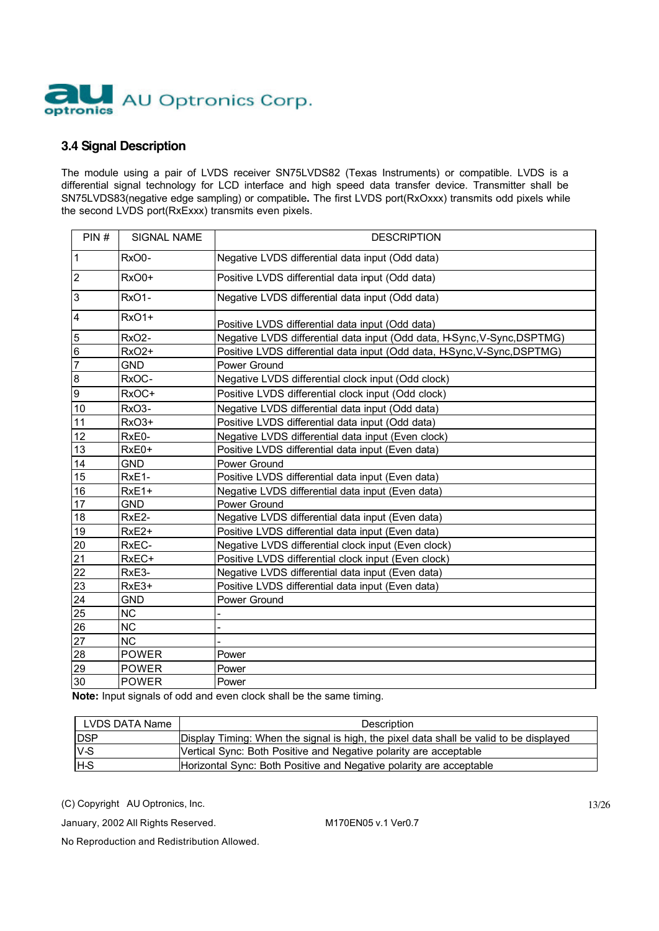

#### **3.4 Signal Description**

The module using a pair of LVDS receiver SN75LVDS82 (Texas Instruments) or compatible. LVDS is a differential signal technology for LCD interface and high speed data transfer device. Transmitter shall be SN75LVDS83(negative edge sampling) or compatible**.** The first LVDS port(RxOxxx) transmits odd pixels while the second LVDS port(RxExxx) transmits even pixels.

| PIN#           | SIGNAL NAME        | <b>DESCRIPTION</b>                                                       |  |  |
|----------------|--------------------|--------------------------------------------------------------------------|--|--|
| $\mathbf{1}$   | RxO0-              | Negative LVDS differential data input (Odd data)                         |  |  |
| $\overline{2}$ | RxO0+              | Positive LVDS differential data input (Odd data)                         |  |  |
| 3              | RxO1-              | Negative LVDS differential data input (Odd data)                         |  |  |
| 4              | Rx01+              | Positive LVDS differential data input (Odd data)                         |  |  |
| 5              | RxO <sub>2</sub> - | Negative LVDS differential data input (Odd data, HSync, V-Sync, DSPTMG)  |  |  |
| $\,6$          | Rx02+              | Positive LVDS differential data input (Odd data, H-Sync, V-Sync, DSPTMG) |  |  |
| $\overline{7}$ | <b>GND</b>         | Power Ground                                                             |  |  |
| 8              | RxOC-              | Negative LVDS differential clock input (Odd clock)                       |  |  |
| 9              | RxOC+              | Positive LVDS differential clock input (Odd clock)                       |  |  |
| 10             | RxO3-              | Negative LVDS differential data input (Odd data)                         |  |  |
| 11             | RxO3+              | Positive LVDS differential data input (Odd data)                         |  |  |
| 12             | RxE0-              | Negative LVDS differential data input (Even clock)                       |  |  |
| 13             | RxE0+              | Positive LVDS differential data input (Even data)                        |  |  |
| 14             | <b>GND</b>         | Power Ground                                                             |  |  |
| 15             | RxE1-              | Positive LVDS differential data input (Even data)                        |  |  |
| 16             | RxE1+              | Negative LVDS differential data input (Even data)                        |  |  |
| 17             | <b>GND</b>         | Power Ground                                                             |  |  |
| 18             | RxE2-              | Negative LVDS differential data input (Even data)                        |  |  |
| 19             | RxE2+              | Positive LVDS differential data input (Even data)                        |  |  |
| 20             | RxEC-              | Negative LVDS differential clock input (Even clock)                      |  |  |
| 21             | RxEC+              | Positive LVDS differential clock input (Even clock)                      |  |  |
| 22             | RxE3-              | Negative LVDS differential data input (Even data)                        |  |  |
| 23             | RxE3+              | Positive LVDS differential data input (Even data)                        |  |  |
| 24             | <b>GND</b>         | Power Ground                                                             |  |  |
| 25             | <b>NC</b>          |                                                                          |  |  |
| 26             | <b>NC</b>          |                                                                          |  |  |
| 27             | <b>NC</b>          |                                                                          |  |  |
| 28             | <b>POWER</b>       | Power                                                                    |  |  |
| 29             | <b>POWER</b>       | Power                                                                    |  |  |
| 30             | <b>POWER</b>       | Power                                                                    |  |  |

**Note:** Input signals of odd and even clock shall be the same timing.

| LVDS DATA Name | <b>Description</b>                                                                     |
|----------------|----------------------------------------------------------------------------------------|
| <b>DSP</b>     | Display Timing: When the signal is high, the pixel data shall be valid to be displayed |
| $V-S$          | Vertical Sync: Both Positive and Negative polarity are acceptable                      |
| Iн-s           | Horizontal Sync: Both Positive and Negative polarity are acceptable                    |

(C) Copyright AU Optronics, Inc.

January, 2002 All Rights Reserved. M170EN05 v.1 Ver0.7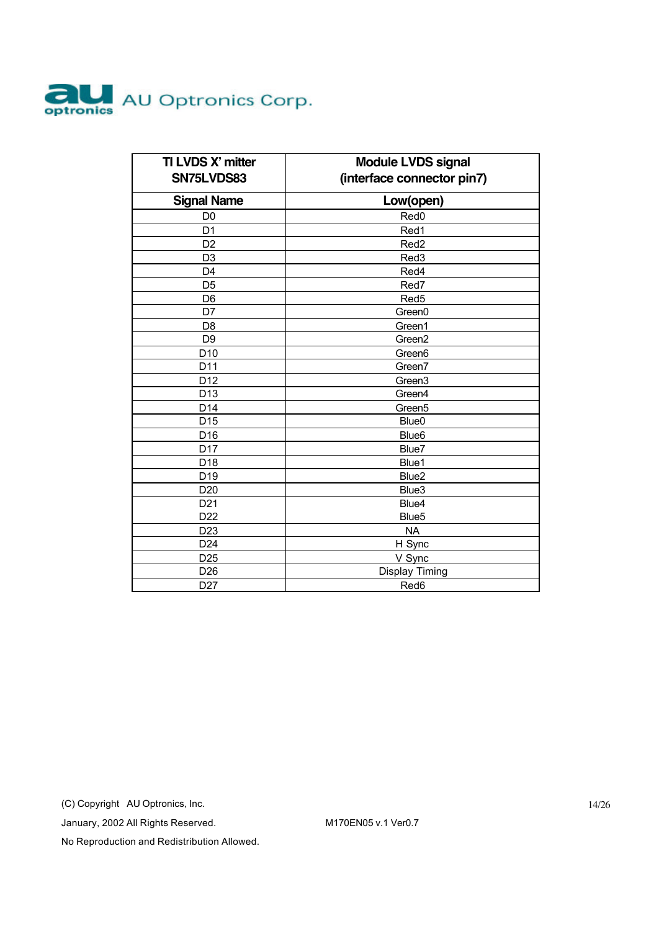

| TI LVDS X' mitter<br>SN75LVDS83 | <b>Module LVDS signal</b><br>(interface connector pin7) |  |
|---------------------------------|---------------------------------------------------------|--|
|                                 |                                                         |  |
| <b>Signal Name</b>              | Low(open)                                               |  |
| D <sub>0</sub>                  | Red <sub>0</sub>                                        |  |
| D <sub>1</sub>                  | Red1                                                    |  |
| D <sub>2</sub>                  | Red <sub>2</sub>                                        |  |
| D <sub>3</sub>                  | Red3                                                    |  |
| D <sub>4</sub>                  | Red4                                                    |  |
| D <sub>5</sub>                  | Red7                                                    |  |
| D <sub>6</sub>                  | Red <sub>5</sub>                                        |  |
| D7                              | Green0                                                  |  |
| D <sub>8</sub>                  | Green1                                                  |  |
| D <sub>9</sub>                  | Green2                                                  |  |
| D <sub>10</sub>                 | Green <sub>6</sub>                                      |  |
| D11                             | Green7                                                  |  |
| D12                             | Green <sub>3</sub>                                      |  |
| D <sub>13</sub>                 | Green4                                                  |  |
| D14                             | Green <sub>5</sub>                                      |  |
| D <sub>15</sub>                 | Blue <sub>0</sub>                                       |  |
| D <sub>16</sub>                 | Blue <sub>6</sub>                                       |  |
| D17                             | Blue7                                                   |  |
| D <sub>18</sub>                 | Blue1                                                   |  |
| D <sub>19</sub>                 | Blue <sub>2</sub>                                       |  |
| D <sub>20</sub>                 | Blue3                                                   |  |
| D <sub>21</sub>                 | Blue4                                                   |  |
| D <sub>22</sub>                 | Blue <sub>5</sub>                                       |  |
| D <sub>23</sub>                 | <b>NA</b>                                               |  |
| D <sub>24</sub>                 | H Sync                                                  |  |
| D <sub>25</sub>                 | V Sync                                                  |  |
| D <sub>26</sub>                 | Display Timing                                          |  |
| D <sub>27</sub>                 | Red6                                                    |  |

(C) Copyright AU Optronics, Inc.

January, 2002 All Rights Reserved. M170EN05 v.1 Ver0.7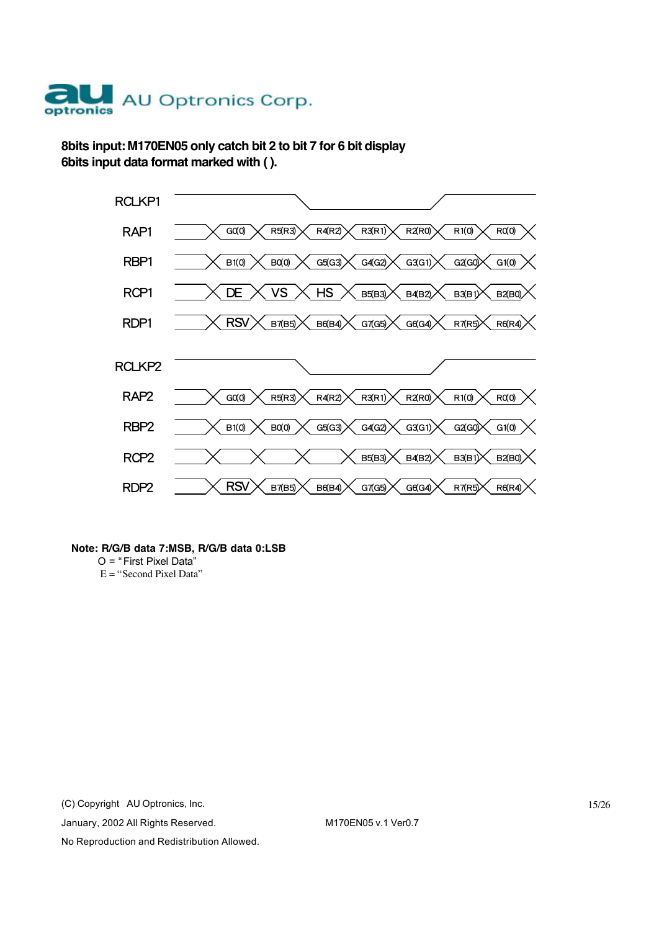

**8bits input: M170EN05 only catch bit 2 to bit 7 for 6 bit display 6bits input data format marked with ( ).**



#### **Note: R/G/B data 7:MSB, R/G/B data 0:LSB**

O = " First Pixel Data"  $E =$ "Second Pixel Data"

(C) Copyright AU Optronics, Inc.

January, 2002 All Rights Reserved. M170EN05 v.1 Ver0.7

15/26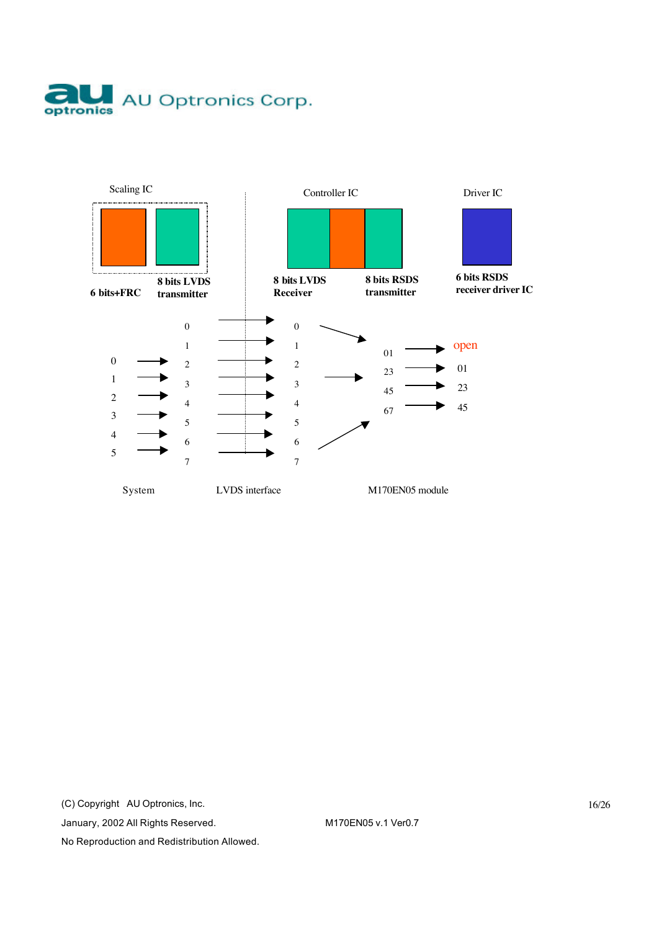



(C) Copyright AU Optronics, Inc.

January, 2002 All Rights Reserved. M170EN05 v.1 Ver0.7

No Reproduction and Redistribution Allowed.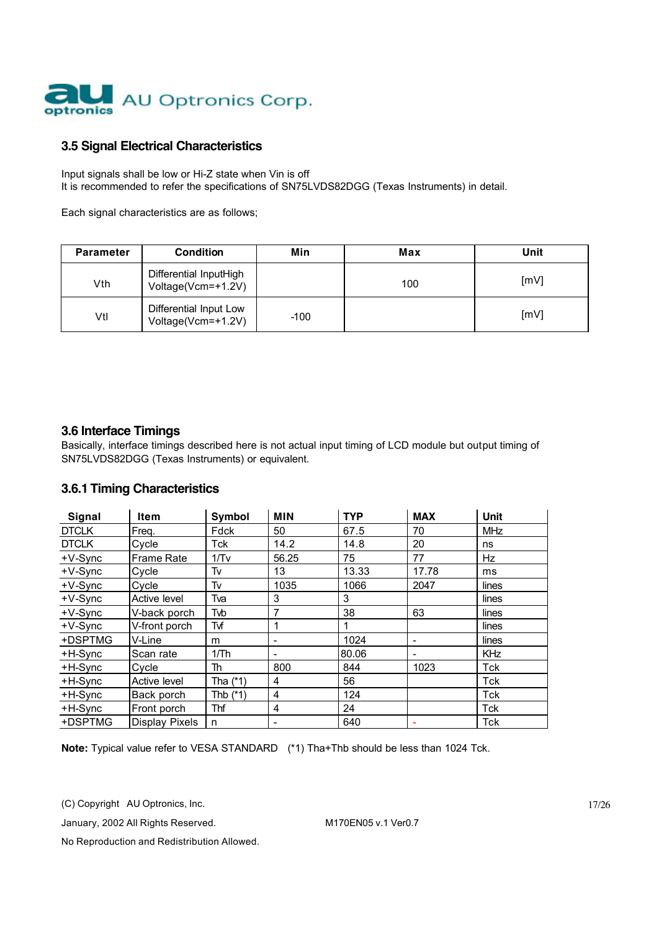

#### **3.5 Signal Electrical Characteristics**

Input signals shall be low or Hi-Z state when Vin is off It is recommended to refer the specifications of SN75LVDS82DGG (Texas Instruments) in detail.

Each signal characteristics are as follows;

| <b>Parameter</b> | <b>Condition</b>                             | Min    | Max | Unit |
|------------------|----------------------------------------------|--------|-----|------|
| Vth              | Differential InputHigh<br>Voltage(Vcm=+1.2V) |        | 100 | [mV] |
| Vtl              | Differential Input Low<br>Voltage(Vcm=+1.2V) | $-100$ |     | [mV] |

#### **3.6 Interface Timings**

Basically, interface timings described here is not actual input timing of LCD module but output timing of SN75LVDS82DGG (Texas Instruments) or equivalent.

#### **3.6.1 Timing Characteristics**

| Signal       | Item                  | Symbol     | <b>MIN</b> | <b>TYP</b> | <b>MAX</b> | Unit       |
|--------------|-----------------------|------------|------------|------------|------------|------------|
| <b>DTCLK</b> | Freq.                 | Fdck       | 50         | 67.5       | 70         | <b>MHz</b> |
| <b>DTCLK</b> | Cvcle                 | Tck        | 14.2       | 14.8       | 20         | ns         |
| $+V-Sync$    | <b>Frame Rate</b>     | 1/Tv       | 56.25      | 75         | 77         | <b>Hz</b>  |
| $+V-Sync$    | Cycle                 | Tv         | 13         | 13.33      | 17.78      | ms         |
| $+V-Sync$    | Cycle                 | Tv         | 1035       | 1066       | 2047       | lines      |
| $+V-Sync$    | Active level          | Tva        | 3          | 3          |            | lines      |
| +V-Sync      | V-back porch          | Tvb        | 7          | 38         | 63         | lines      |
| $+V-Sync$    | V-front porch         | Tvf        | 1          |            |            | lines      |
| +DSPTMG      | V-Line                | m          |            | 1024       | -          | lines      |
| +H-Sync      | Scan rate             | 1/Th       | -          | 80.06      | -          | <b>KHz</b> |
| +H-Sync      | Cycle                 | Th         | 800        | 844        | 1023       | Tck        |
| +H-Sync      | Active level          | Tha (*1)   | 4          | 56         |            | Tck        |
| +H-Sync      | Back porch            | Thb $(*1)$ | 4          | 124        |            | Tck        |
| +H-Sync      | Front porch           | Thf        | 4          | 24         |            | Tck        |
| +DSPTMG      | <b>Display Pixels</b> | n          |            | 640        |            | Tck        |

**Note:** Typical value refer to VESA STANDARD (\*1) Tha+Thb should be less than 1024 Tck.

(C) Copyright AU Optronics, Inc.

January, 2002 All Rights Reserved. M170EN05 v.1 Ver0.7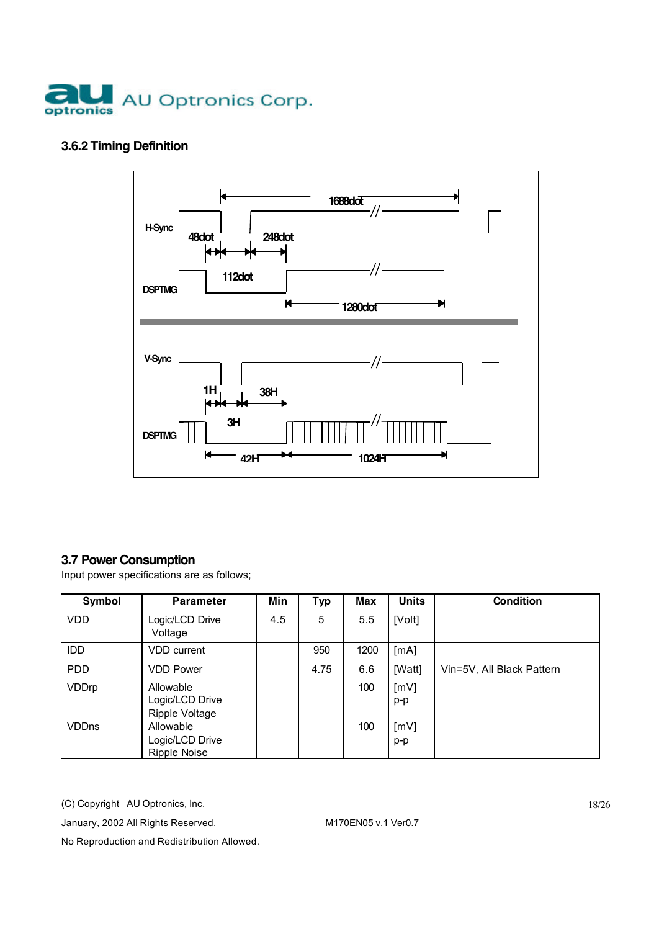

### **3.6.2 Timing Definition**



### **3.7 Power Consumption**

Input power specifications are as follows;

| Symbol       | <b>Parameter</b>                                    | Min | <b>Typ</b> | Max  | <b>Units</b>  | <b>Condition</b>          |
|--------------|-----------------------------------------------------|-----|------------|------|---------------|---------------------------|
| <b>VDD</b>   | Logic/LCD Drive<br>Voltage                          | 4.5 | 5          | 5.5  | [Volt]        |                           |
| IDD          | VDD current                                         |     | 950        | 1200 | [mA]          |                           |
| <b>PDD</b>   | <b>VDD Power</b>                                    |     | 4.75       | 6.6  | [Watt]        | Vin=5V, All Black Pattern |
| VDDrp        | Allowable<br>Logic/LCD Drive<br>Ripple Voltage      |     |            | 100  | [mV]<br>$p-p$ |                           |
| <b>VDDns</b> | Allowable<br>Logic/LCD Drive<br><b>Ripple Noise</b> |     |            | 100  | [mV]<br>$p-p$ |                           |

(C) Copyright AU Optronics, Inc.

January, 2002 All Rights Reserved. M170EN05 v.1 Ver0.7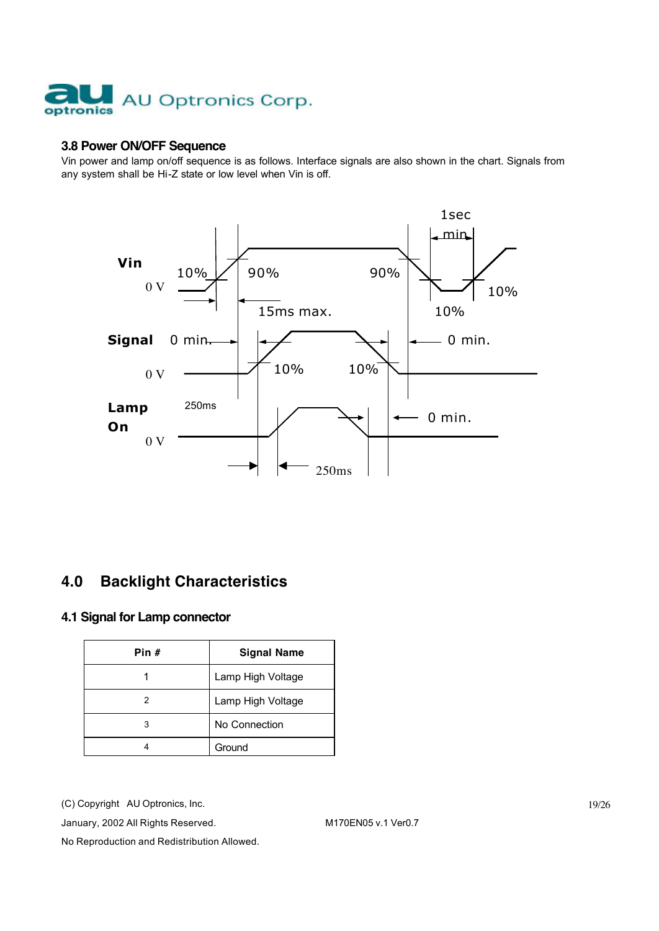

#### **3.8 Power ON/OFF Sequence**

Vin power and lamp on/off sequence is as follows. Interface signals are also shown in the chart. Signals from any system shall be Hi-Z state or low level when Vin is off.



# **4.0 Backlight Characteristics**

#### **4.1 Signal for Lamp connector**

| Pin # | <b>Signal Name</b> |  |  |
|-------|--------------------|--|--|
|       | Lamp High Voltage  |  |  |
| 2     | Lamp High Voltage  |  |  |
| з     | No Connection      |  |  |
|       | Ground             |  |  |

(C) Copyright AU Optronics, Inc.

January, 2002 All Rights Reserved. M170EN05 v.1 Ver0.7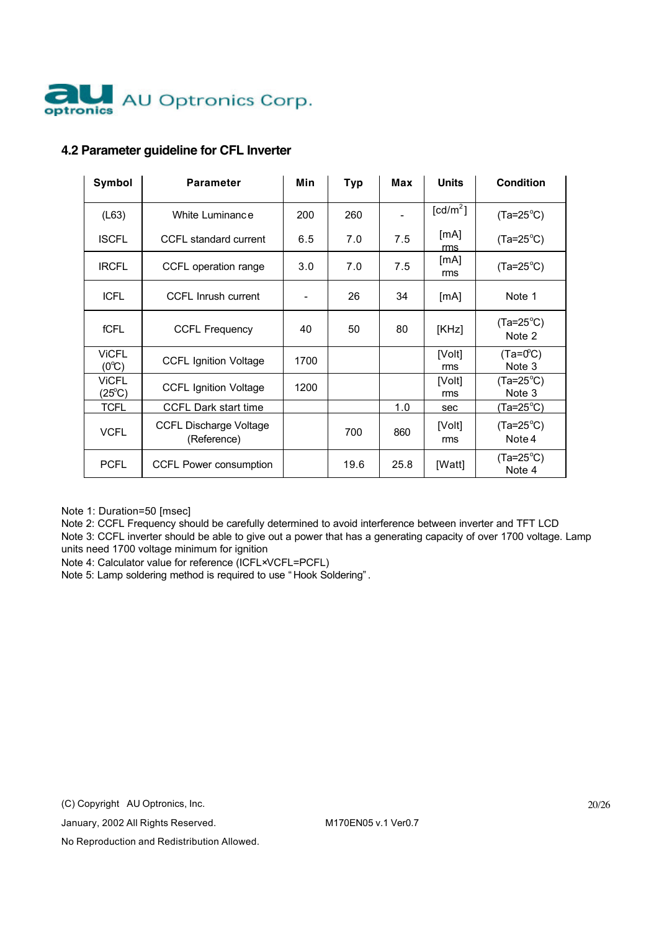

### **4.2 Parameter guideline for CFL Inverter**

| Symbol                          | <b>Parameter</b>                             | Min  | <b>Typ</b> | Max  | <b>Units</b>         | <b>Condition</b>             |
|---------------------------------|----------------------------------------------|------|------------|------|----------------------|------------------------------|
| (L63)                           | White Luminance                              | 200  | 260        |      | [cd/m <sup>2</sup> ] | $(Ta=25^{\circ}C)$           |
| <b>ISCFL</b>                    | CCFL standard current                        | 6.5  | 7.0        | 7.5  | [mA]<br>rms          | $(Ta=25^{\circ}C)$           |
| <b>IRCFL</b>                    | CCFL operation range                         | 3.0  | 7.0        | 7.5  | [mA]<br>rms          | $(Ta=25^{\circ}C)$           |
| <b>ICFL</b>                     | <b>CCFL Inrush current</b>                   |      | 26         | 34   | [mA]                 | Note 1                       |
| <b>fCFL</b>                     | <b>CCFL Frequency</b>                        | 40   | 50         | 80   | [KHz]                | $(Ta=25^{\circ}C)$<br>Note 2 |
| <b>ViCFL</b><br>$(0^{\circ}C)$  | <b>CCFL Ignition Voltage</b>                 | 1700 |            |      | [Volt]<br>rms        | $(Ta=0^{\circ}C)$<br>Note 3  |
| <b>VICFL</b><br>$(25^{\circ}C)$ | <b>CCFL Ignition Voltage</b>                 | 1200 |            |      | [Volt]<br>rms        | $(Ta=25^{\circ}C)$<br>Note 3 |
| <b>TCFL</b>                     | <b>CCFL Dark start time</b>                  |      |            | 1.0  | sec                  | $(Ta=25^{\circ}C)$           |
| <b>VCFL</b>                     | <b>CCFL Discharge Voltage</b><br>(Reference) |      | 700        | 860  | [Volt]<br>rms        | $(Ta=25^{\circ}C)$<br>Note 4 |
| <b>PCFL</b>                     | <b>CCFL Power consumption</b>                |      | 19.6       | 25.8 | [Watt]               | $(Ta=25^{\circ}C)$<br>Note 4 |

Note 1: Duration=50 [msec]

Note 2: CCFL Frequency should be carefully determined to avoid interference between inverter and TFT LCD

Note 3: CCFL inverter should be able to give out a power that has a generating capacity of over 1700 voltage. Lamp units need 1700 voltage minimum for ignition

Note 4: Calculator value for reference (ICFL×VCFL=PCFL)

Note 5: Lamp soldering method is required to use " Hook Soldering" .

(C) Copyright AU Optronics, Inc.

January, 2002 All Rights Reserved. M170EN05 v.1 Ver0.7

20/26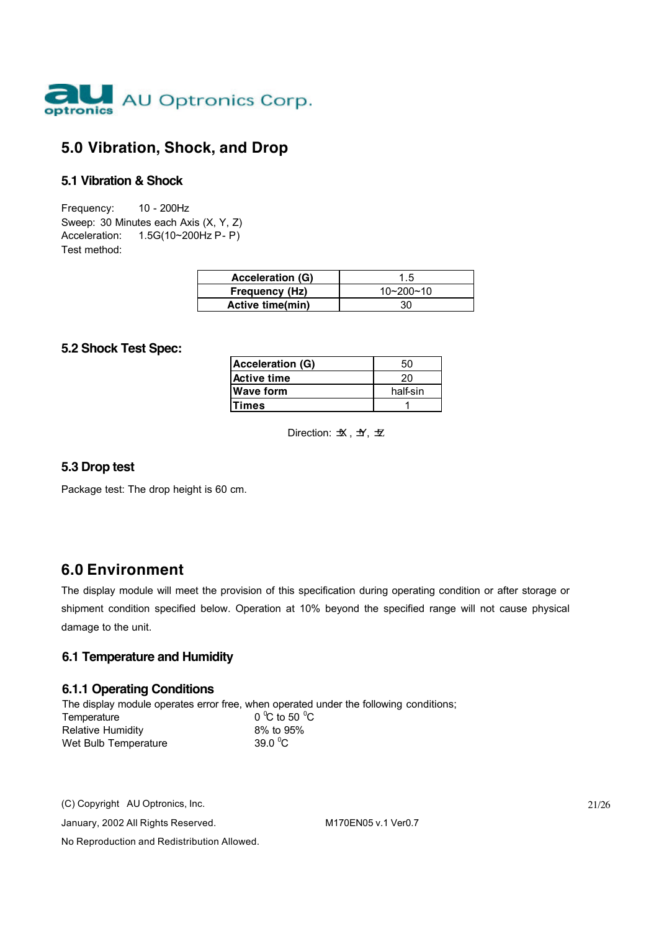

## **5.0 Vibration, Shock, and Drop**

#### **5.1 Vibration & Shock**

Frequency: 10 - 200Hz Sweep: 30 Minutes each Axis (X, Y, Z) Acceleration: 1.5G(10~200Hz P- P) Test method:

| <b>Acceleration (G)</b> |                 |
|-------------------------|-----------------|
| <b>Frequency (Hz)</b>   | $10 - 200 - 10$ |
| <b>Active time(min)</b> |                 |

#### **5.2 Shock Test Spec:**

| <b>Acceleration (G)</b> | 50       |
|-------------------------|----------|
| Active time             | 20       |
| <b>Wave form</b>        | half-sin |
| lTimes                  |          |
|                         |          |

Direction:  $\mathcal{H}, \mathcal{H}, \mathcal{H}$ 

#### **5.3 Drop test**

Package test: The drop height is 60 cm.

### **6.0 Environment**

The display module will meet the provision of this specification during operating condition or after storage or shipment condition specified below. Operation at 10% beyond the specified range will not cause physical damage to the unit.

#### **6.1 Temperature and Humidity**

#### **6.1.1 Operating Conditions**

The display module operates error free, when operated under the following conditions; Temperature  $^{\circ}$ C to 50  $^{\circ}$ C Relative Humidity 8% to 95% Wet Bulb Temperature 39.0 $\degree$ C

(C) Copyright AU Optronics, Inc.

January, 2002 All Rights Reserved. M170EN05 v.1 Ver0.7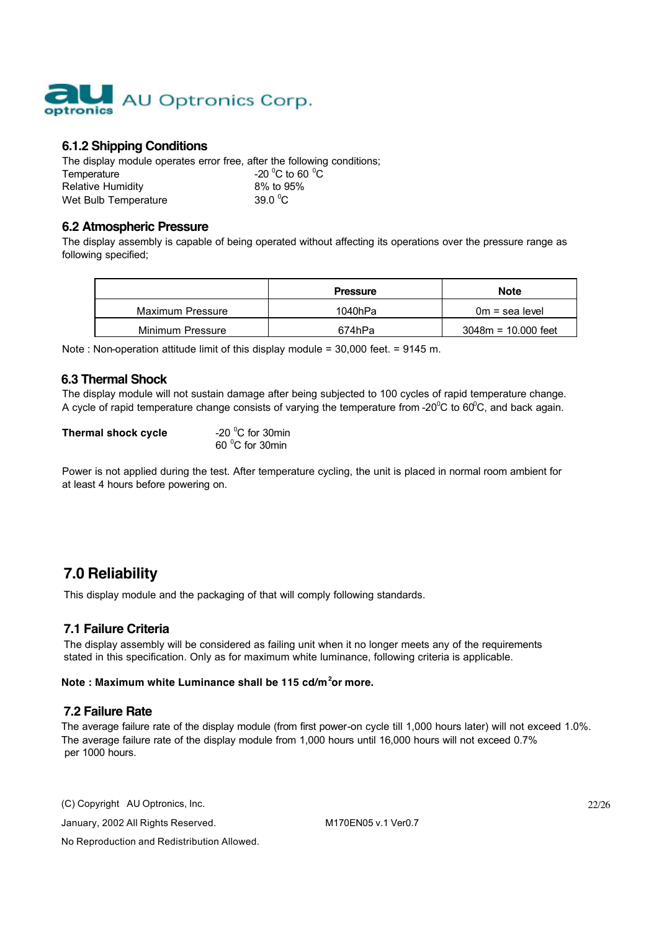

#### **6.1.2 Shipping Conditions**

The display module operates error free, after the following conditions; Temperature  $-20\degree$ C to 60<br>Relative Humidity 8% to 95% C to 60  $^{\circ}$ C **Relative Humidity** Wet Bulb Temperature 39.0 $\degree$ C

#### **6.2 Atmospheric Pressure**

The display assembly is capable of being operated without affecting its operations over the pressure range as following specified;

|                  | <b>Pressure</b> | <b>Note</b>           |
|------------------|-----------------|-----------------------|
| Maximum Pressure | 1040hPa         | $0m =$ sea level      |
| Minimum Pressure | 674hPa          | $3048m = 10.000$ feet |

Note : Non-operation attitude limit of this display module = 30,000 feet. = 9145 m.

#### **6.3 Thermal Shock**

The display module will not sustain damage after being subjected to 100 cycles of rapid temperature change. A cycle of rapid temperature change consists of varying the temperature from -20<sup>0</sup>C to 60<sup>0</sup>C, and back again.

#### **Thermal shock cycle**

-20 $\mathrm{^0C}$  for 30min 60 <sup>o</sup>C for 30min

Power is not applied during the test. After temperature cycling, the unit is placed in normal room ambient for at least 4 hours before powering on.

# **7.0 Reliability**

This display module and the packaging of that will comply following standards.

#### **7.1 Failure Criteria**

The display assembly will be considered as failing unit when it no longer meets any of the requirements stated in this specification. Only as for maximum white luminance, following criteria is applicable.

#### **Note : Maximum white Luminance shall be 115 cd/m<sup>2</sup> or more.**

#### **7.2 Failure Rate**

The average failure rate of the display module (from first power-on cycle till 1,000 hours later) will not exceed 1.0%. The average failure rate of the display module from 1,000 hours until 16,000 hours will not exceed 0.7% per 1000 hours.

(C) Copyright AU Optronics, Inc.

January, 2002 All Rights Reserved. M170EN05 v.1 Ver0.7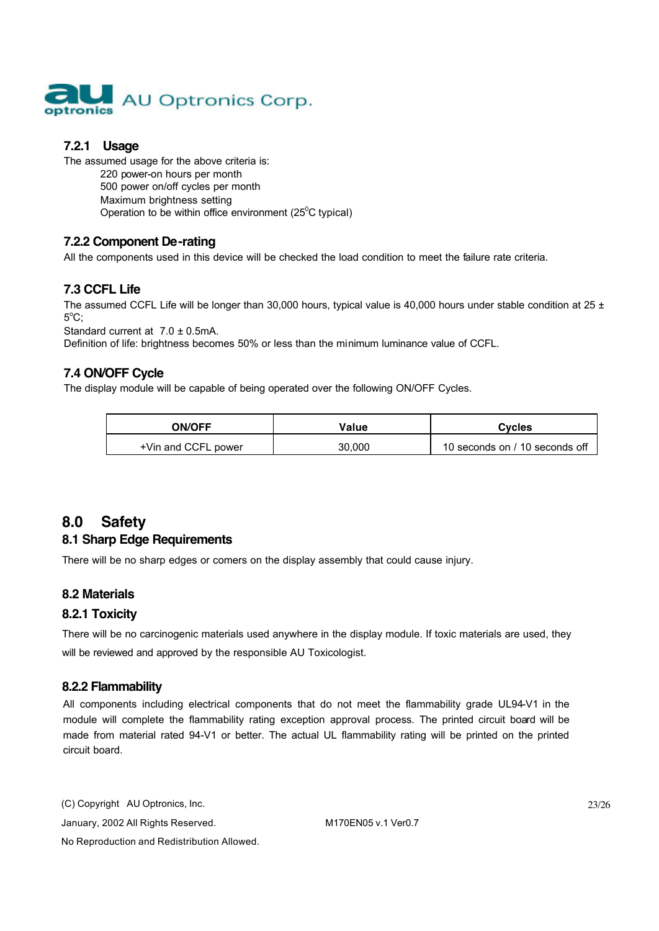

### **7.2.1 Usage**

The assumed usage for the above criteria is: 220 power-on hours per month 500 power on/off cycles per month Maximum brightness setting Operation to be within office environment ( $25^{\circ}$ C typical)

### **7.2.2 Component De-rating**

All the components used in this device will be checked the load condition to meet the failure rate criteria.

### **7.3 CCFL Life**

The assumed CCFL Life will be longer than 30,000 hours, typical value is 40,000 hours under stable condition at 25  $\pm$  $5^{\circ}$ C;

Standard current at 7.0 ± 0.5mA.

Definition of life: brightness becomes 50% or less than the minimum luminance value of CCFL.

#### **7.4 ON/OFF Cycle**

The display module will be capable of being operated over the following ON/OFF Cycles.

| <b>ON/OFF</b>       | Value  | Cvcles                         |
|---------------------|--------|--------------------------------|
| +Vin and CCFL power | 30,000 | 10 seconds on / 10 seconds off |

# **8.0 Safety**

#### **8.1 Sharp Edge Requirements**

There will be no sharp edges or comers on the display assembly that could cause injury.

#### **8.2 Materials**

#### **8.2.1 Toxicity**

There will be no carcinogenic materials used anywhere in the display module. If toxic materials are used, they will be reviewed and approved by the responsible AU Toxicologist.

#### **8.2.2 Flammability**

All components including electrical components that do not meet the flammability grade UL94-V1 in the module will complete the flammability rating exception approval process. The printed circuit board will be made from material rated 94-V1 or better. The actual UL flammability rating will be printed on the printed circuit board.

(C) Copyright AU Optronics, Inc. January, 2002 All Rights Reserved. M170EN05 v.1 Ver0.7 No Reproduction and Redistribution Allowed.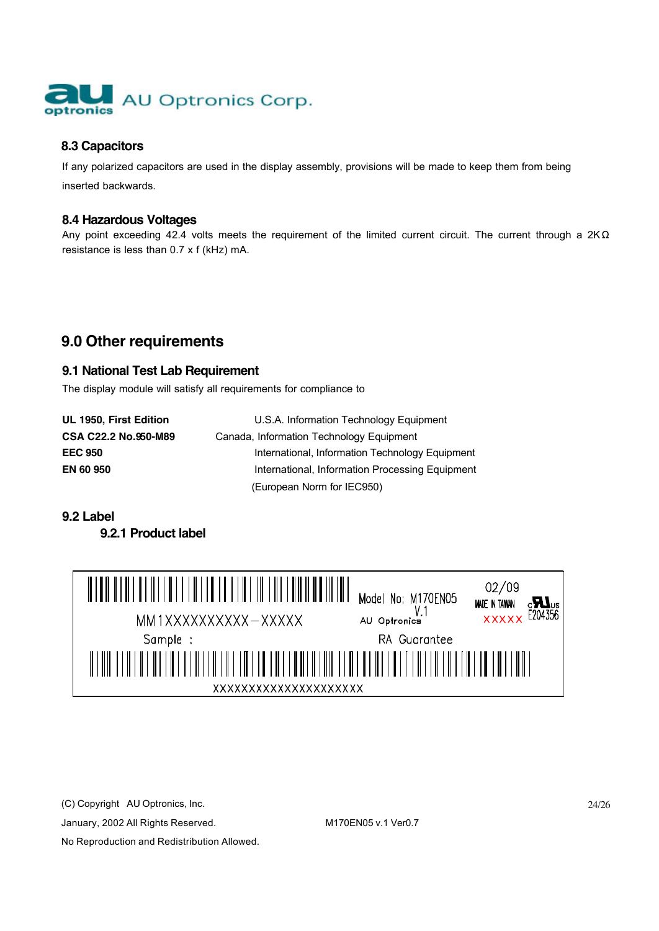

### **8.3 Capacitors**

If any polarized capacitors are used in the display assembly, provisions will be made to keep them from being inserted backwards.

#### **8.4 Hazardous Voltages**

Any point exceeding 42.4 volts meets the requirement of the limited current circuit. The current through a 2KΩ resistance is less than 0.7 x f (kHz) mA.

# **9.0 Other requirements**

#### **9.1 National Test Lab Requirement**

The display module will satisfy all requirements for compliance to

**UL 1950, First Edition** U.S.A. Information Technology Equipment **CSA C22.2 No.950-M89** Canada, Information Technology Equipment **EEC 950** International, Information Technology Equipment **EN 60 950** International, Information Processing Equipment (European Norm for IEC950)

#### **9.2 Label**

**9.2.1 Product label**



(C) Copyright AU Optronics, Inc.

January, 2002 All Rights Reserved. M170EN05 v.1 Ver0.7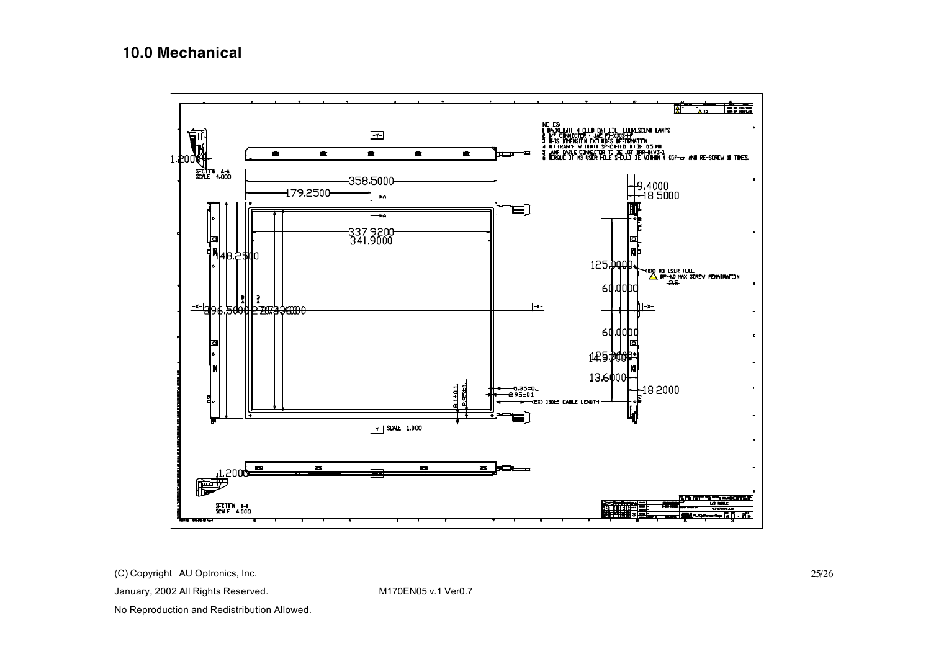## **10.0 Mechanical**



(C) Copyright AU Optronics, Inc.

January, 2002 All Rights Reserved. M170EN05 v.1 Ver0.7